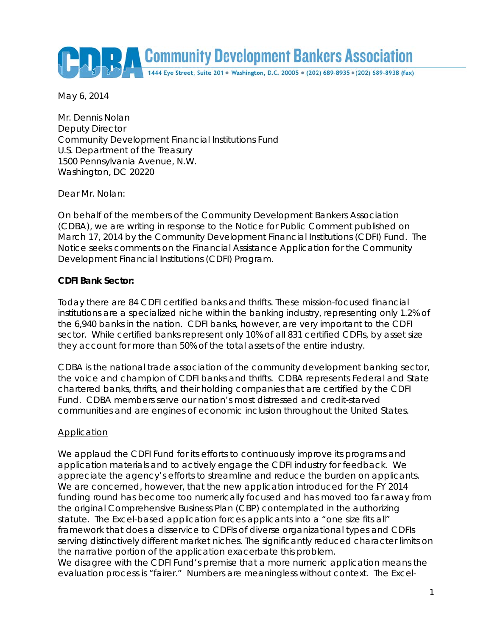Community Development Bankers Association

May 6, 2014

Mr. Dennis Nolan Deputy Director Community Development Financial Institutions Fund U.S. Department of the Treasury 1500 Pennsylvania Avenue, N.W. Washington, DC 20220

Dear Mr. Nolan:

On behalf of the members of the Community Development Bankers Association (CDBA), we are writing in response to the Notice for Public Comment published on March 17, 2014 by the Community Development Financial Institutions (CDFI) Fund. The Notice seeks comments on the Financial Assistance Application for the Community Development Financial Institutions (CDFI) Program.

## **CDFI Bank Sector:**

Today there are 84 CDFI certified banks and thrifts. These mission-focused financial institutions are a specialized niche within the banking industry, representing only 1.2% of the 6,940 banks in the nation. CDFI banks, however, are very important to the CDFI sector. While certified banks represent only 10% of all 831 certified CDFIs, by asset size they account for more than 50% of the total assets of the entire industry.

CDBA is the national trade association of the community development banking sector, the voice and champion of CDFI banks and thrifts. CDBA represents Federal and State chartered banks, thrifts, and their holding companies that are certified by the CDFI Fund. CDBA members serve our nation's most distressed and credit-starved communities and are engines of economic inclusion throughout the United States.

## **Application**

We applaud the CDFI Fund for its efforts to continuously improve its programs and application materials and to actively engage the CDFI industry for feedback. We appreciate the agency's efforts to streamline and reduce the burden on applicants. We are concerned, however, that the new application introduced for the FY 2014 funding round has become too numerically focused and has moved too far away from the original Comprehensive Business Plan (CBP) contemplated in the authorizing statute. The Excel-based application forces applicants into a "one size fits all" framework that does a disservice to CDFIs of diverse organizational types and CDFIs serving distinctively different market niches. The significantly reduced character limits on the narrative portion of the application exacerbate this problem.

We disagree with the CDFI Fund's premise that a more numeric application means the evaluation process is "fairer." Numbers are meaningless without context. The Excel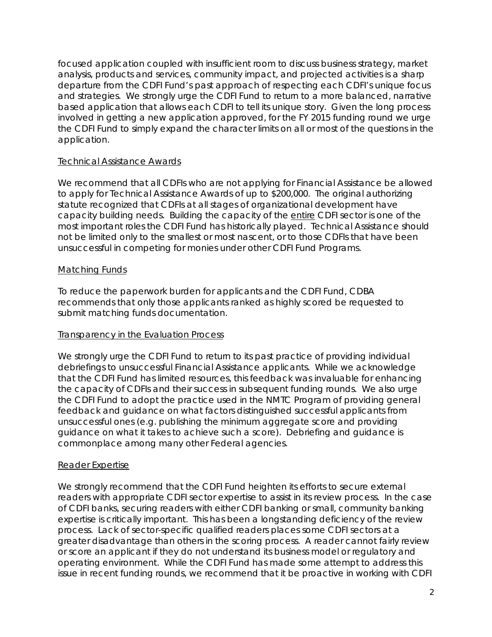focused application coupled with insufficient room to discuss business strategy, market analysis, products and services, community impact, and projected activities is a sharp departure from the CDFI Fund's past approach of respecting each CDFI's unique focus and strategies. We strongly urge the CDFI Fund to return to a more balanced, narrative based application that allows each CDFI to tell its unique story. Given the long process involved in getting a new application approved, for the FY 2015 funding round we urge the CDFI Fund to simply expand the character limits on all or most of the questions in the application.

## Technical Assistance Awards

We recommend that all CDFIs who are not applying for Financial Assistance be allowed to apply for Technical Assistance Awards of up to \$200,000. The original authorizing statute recognized that CDFIs at all stages of organizational development have capacity building needs. Building the capacity of the entire CDFI sector is one of the most important roles the CDFI Fund has historically played. Technical Assistance should not be limited only to the smallest or most nascent, or to those CDFIs that have been unsuccessful in competing for monies under other CDFI Fund Programs.

# Matching Funds

To reduce the paperwork burden for applicants and the CDFI Fund, CDBA recommends that only those applicants ranked as highly scored be requested to submit matching funds documentation.

# Transparency in the Evaluation Process

We strongly urge the CDFI Fund to return to its past practice of providing individual debriefings to unsuccessful Financial Assistance applicants. While we acknowledge that the CDFI Fund has limited resources, this feedback was invaluable for enhancing the capacity of CDFIs and their success in subsequent funding rounds. We also urge the CDFI Fund to adopt the practice used in the NMTC Program of providing general feedback and guidance on what factors distinguished successful applicants from unsuccessful ones (e.g. publishing the minimum aggregate score and providing guidance on what it takes to achieve such a score). Debriefing and guidance is commonplace among many other Federal agencies.

## Reader Expertise

We strongly recommend that the CDFI Fund heighten its efforts to secure external readers with appropriate CDFI sector expertise to assist in its review process. In the case of CDFI banks, securing readers with either CDFI banking or small, community banking expertise is critically important. This has been a longstanding deficiency of the review process. Lack of sector-specific qualified readers places some CDFI sectors at a greater disadvantage than others in the scoring process. A reader cannot fairly review or score an applicant if they do not understand its business model or regulatory and operating environment. While the CDFI Fund has made some attempt to address this issue in recent funding rounds, we recommend that it be proactive in working with CDFI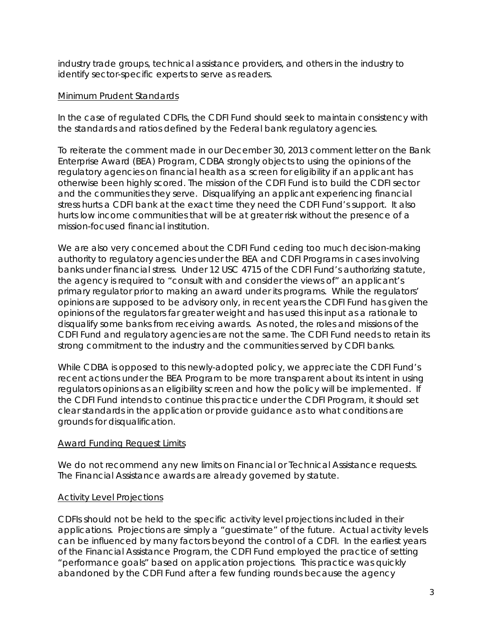industry trade groups, technical assistance providers, and others in the industry to identify sector-specific experts to serve as readers.

## Minimum Prudent Standards

In the case of regulated CDFIs, the CDFI Fund should seek to maintain consistency with the standards and ratios defined by the Federal bank regulatory agencies.

To reiterate the comment made in our December 30, 2013 comment letter on the Bank Enterprise Award (BEA) Program, CDBA strongly objects to using the opinions of the regulatory agencies on financial health as a screen for eligibility if an applicant has otherwise been highly scored. The mission of the CDFI Fund is to build the CDFI sector and the communities they serve. Disqualifying an applicant experiencing financial stress hurts a CDFI bank at the exact time they need the CDFI Fund's support. It also hurts low income communities that will be at greater risk without the presence of a mission-focused financial institution.

We are also very concerned about the CDFI Fund ceding too much decision-making authority to regulatory agencies under the BEA and CDFI Programs in cases involving banks under financial stress. Under 12 USC 4715 of the CDFI Fund's authorizing statute, the agency is required to "consult with and consider the views of" an applicant's primary regulator prior to making an award under its programs. While the regulators' opinions are supposed to be advisory only, in recent years the CDFI Fund has given the opinions of the regulators far greater weight and has used this input as a rationale to disqualify some banks from receiving awards. As noted, the roles and missions of the CDFI Fund and regulatory agencies are not the same. The CDFI Fund needs to retain its strong commitment to the industry and the communities served by CDFI banks.

While CDBA is opposed to this newly-adopted policy, we appreciate the CDFI Fund's recent actions under the BEA Program to be more transparent about its intent in using regulators opinions as an eligibility screen and how the policy will be implemented. If the CDFI Fund intends to continue this practice under the CDFI Program, it should set clear standards in the application or provide guidance as to what conditions are grounds for disqualification.

## Award Funding Request Limits

We do not recommend any new limits on Financial or Technical Assistance requests. The Financial Assistance awards are already governed by statute.

# Activity Level Projections

CDFIs should not be held to the specific activity level projections included in their applications. Projections are simply a "guestimate" of the future. Actual activity levels can be influenced by many factors beyond the control of a CDFI. In the earliest years of the Financial Assistance Program, the CDFI Fund employed the practice of setting "performance goals" based on application projections. This practice was quickly abandoned by the CDFI Fund after a few funding rounds because the agency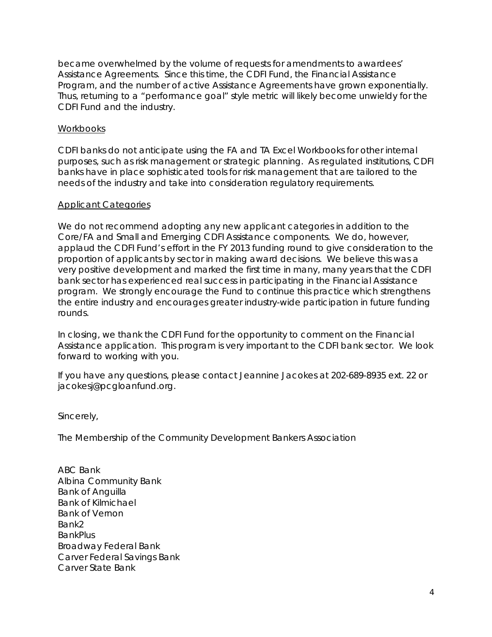became overwhelmed by the volume of requests for amendments to awardees' Assistance Agreements. Since this time, the CDFI Fund, the Financial Assistance Program, and the number of active Assistance Agreements have grown exponentially. Thus, returning to a "performance goal" style metric will likely become unwieldy for the CDFI Fund and the industry.

## Workbooks

CDFI banks do not anticipate using the FA and TA Excel Workbooks for other internal purposes, such as risk management or strategic planning. As regulated institutions, CDFI banks have in place sophisticated tools for risk management that are tailored to the needs of the industry and take into consideration regulatory requirements.

## Applicant Categories

We do not recommend adopting any new applicant categories in addition to the Core/FA and Small and Emerging CDFI Assistance components. We do, however, applaud the CDFI Fund's effort in the FY 2013 funding round to give consideration to the proportion of applicants by sector in making award decisions. We believe this was a very positive development and marked the first time in many, many years that the CDFI bank sector has experienced real success in participating in the Financial Assistance program. We strongly encourage the Fund to continue this practice which strengthens the entire industry and encourages greater industry-wide participation in future funding rounds.

In closing, we thank the CDFI Fund for the opportunity to comment on the Financial Assistance application. This program is very important to the CDFI bank sector. We look forward to working with you.

If you have any questions, please contact Jeannine Jacokes at 202-689-8935 ext. 22 or jacokesj@pcgloanfund.org.

Sincerely,

The Membership of the Community Development Bankers Association

ABC Bank Albina Community Bank Bank of Anguilla Bank of Kilmichael Bank of Vernon Bank2 BankPlus Broadway Federal Bank Carver Federal Savings Bank Carver State Bank